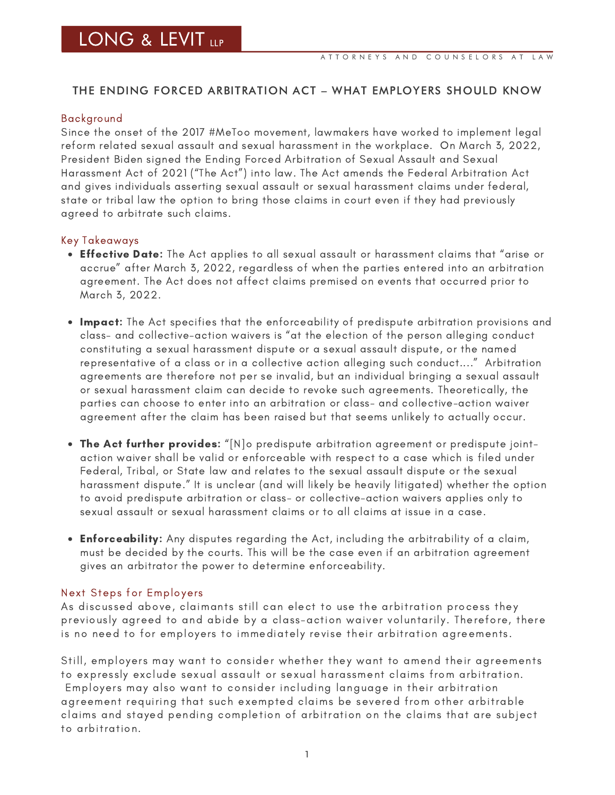## THE ENDING FORCED ARBITRATION ACT – WHAT EMPLOYERS SHOULD KNOW

#### Background

Since the onset of the 2017 #MeToo movement, lawmakers have worked to implement legal reform related sexual assault and sexual harassment in the workplace. On March 3, 2022, President Biden signed the Ending Forced Arbitration of Sexual Assault and Sexual Harassment Act of 2021 ("The Act") into law. The Act amends the Federal Arbitration Act and gives individuals asserting sexual assault or sexual harassment claims under federal, state or tribal law the option to bring those claims in court even if they had previously agreed to arbitrate such claims.

### Key Takeaways

- **Effective Date:** The Act applies to all sexual assault or harassment claims that "arise or accrue" after March 3, 2022, regardless of when the parties entered into an arbitration agreement. The Act does not affect claims premised on events that occurred prior to March 3, 2022.
- . Impact: The Act specifies that the enforceability of predispute arbitration provisions and class- and collective-action waivers is "at the election of the person alleging conduct constituting a sexual harassment dispute or a sexual assault dispute, or the named representative of a class or in a collective action alleging such conduct...." Arbitration agreements are therefore not per se invalid, but an individual bringing a sexual assault or sexual harassment claim can decide to revoke such agreements. Theoretically, the parties can choose to enter into an arbitration or class- and collective-action waiver agreement after the claim has been raised but that seems unlikely to actually occur.
- The Act further provides: "[N]o predispute arbitration agreement or predispute jointaction waiver shall be valid or enforceable with respect to a case which is filed under Federal, Tribal, or State law and relates to the sexual assault dispute or the sexual harassment dispute." It is unclear (and will likely be heavily litigated) whether the option to avoid predispute arbitration or class- or collective-action waivers applies only to sexual assault or sexual harassment claims or to all claims at issue in a case.
- **Enforceability:** Any disputes regarding the Act, including the arbitrability of a claim, must be decided by the courts. This will be the case even if an arbitration agreement gives an arbitrator the power to determine enforceability.

#### Next Steps for Employers

As discussed above, claimants still can elect to use the arbitration process they previously agreed to and abide by a class-action waiver voluntarily. Therefore, there is no need to for employers to immediately revise their arbitration agreements.

Still, employers may want to consider whether they want to amend their agreements to expressly exclude sexual assault or sexual harassment claims from arbitration. Employers may also want to consider including language in their arbitration agreement requiring that such exempted claims be severed from other arbitrable claims and stayed pending completion of arbitration on the claims that are subject to arbitration.